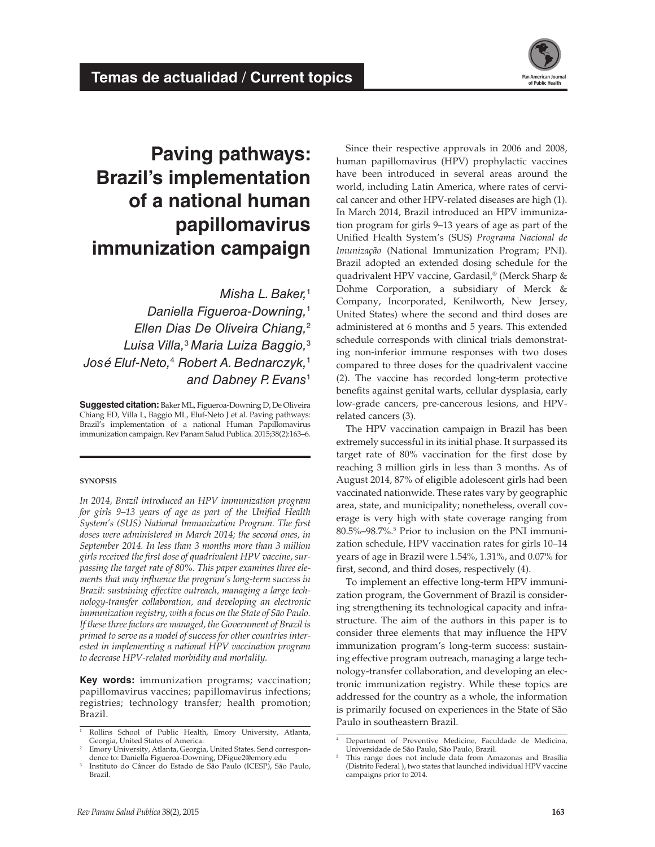

# **Paving pathways: Brazil's implementation of a national human papillomavirus immunization campaign**

*Misha L. Baker,*<sup>1</sup> *Daniella Figueroa-Downing,*<sup>1</sup> *Ellen Dias De Oliveira Chiang,*<sup>2</sup> *Luisa Villa,*<sup>3</sup> *Maria Luiza Baggio,*<sup>3</sup> *José Eluf-Neto,*<sup>4</sup>  *Robert A. Bednarczyk,*<sup>1</sup> *and Dabney P. Evans*<sup>1</sup>

**Suggested citation:** Baker ML, Figueroa-Downing D, De Oliveira Chiang ED, Villa L, Baggio ML, Eluf-Neto J et al. Paving pathways: Brazil's implementation of a national Human Papillomavirus immunization campaign. Rev Panam Salud Publica. 2015;38(2):163–6.

#### **synopsis**

*In 2014, Brazil introduced an HPV immunization program for girls 9–13 years of age as part of the Unified Health System's (SUS) National Immunization Program. The first doses were administered in March 2014; the second ones, in September 2014. In less than 3 months more than 3 million girls received the first dose of quadrivalent HPV vaccine, surpassing the target rate of 80%. This paper examines three elements that may influence the program's long-term success in Brazil: sustaining effective outreach, managing a large technology-transfer collaboration, and developing an electronic immunization registry, with a focus on the State of São Paulo. If these three factors are managed, the Government of Brazil is primed to serve as a model of success for other countries interested in implementing a national HPV vaccination program to decrease HPV-related morbidity and mortality.*

**Key words:** immunization programs; vaccination; papillomavirus vaccines; papillomavirus infections; registries; technology transfer; health promotion; Brazil.

Since their respective approvals in 2006 and 2008, human papillomavirus (HPV) prophylactic vaccines have been introduced in several areas around the world, including Latin America, where rates of cervical cancer and other HPV-related diseases are high (1). In March 2014, Brazil introduced an HPV immunization program for girls 9–13 years of age as part of the Unified Health System's (SUS) *Programa Nacional de Imunização* (National Immunization Program; PNI). Brazil adopted an extended dosing schedule for the quadrivalent HPV vaccine, Gardasil,® (Merck Sharp & Dohme Corporation, a subsidiary of Merck & Company, Incorporated, Kenilworth, New Jersey, United States) where the second and third doses are administered at 6 months and 5 years. This extended schedule corresponds with clinical trials demonstrating non-inferior immune responses with two doses compared to three doses for the quadrivalent vaccine (2). The vaccine has recorded long-term protective benefits against genital warts, cellular dysplasia, early low-grade cancers, pre-cancerous lesions, and HPVrelated cancers (3).

The HPV vaccination campaign in Brazil has been extremely successful in its initial phase. It surpassed its target rate of 80% vaccination for the first dose by reaching 3 million girls in less than 3 months. As of August 2014, 87% of eligible adolescent girls had been vaccinated nationwide. These rates vary by geographic area, state, and municipality; nonetheless, overall coverage is very high with state coverage ranging from 80.5%–98.7%.5 Prior to inclusion on the PNI immunization schedule, HPV vaccination rates for girls 10–14 years of age in Brazil were 1.54%, 1.31%, and 0.07% for first, second, and third doses, respectively (4).

To implement an effective long-term HPV immunization program, the Government of Brazil is considering strengthening its technological capacity and infrastructure. The aim of the authors in this paper is to consider three elements that may influence the HPV immunization program's long-term success: sustaining effective program outreach, managing a large technology-transfer collaboration, and developing an electronic immunization registry. While these topics are addressed for the country as a whole, the information is primarily focused on experiences in the State of São Paulo in southeastern Brazil.

Rollins School of Public Health, Emory University, Atlanta, Georgia, United States of America.

<sup>2</sup> Emory University, Atlanta, Georgia, United States. Send correspondence to: Daniella Figueroa-Downing, DFigue2@emory.edu

<sup>3</sup> Instituto do Câncer do Estado de São Paulo (ICESP), São Paulo, Brazil.

<sup>4</sup> Department of Preventive Medicine, Faculdade de Medicina, Universidade de São Paulo, São Paulo, Brazil.

<sup>5</sup> This range does not include data from Amazonas and Brasília (Distrito Federal ), two states that launched individual HPV vaccine campaigns prior to 2014.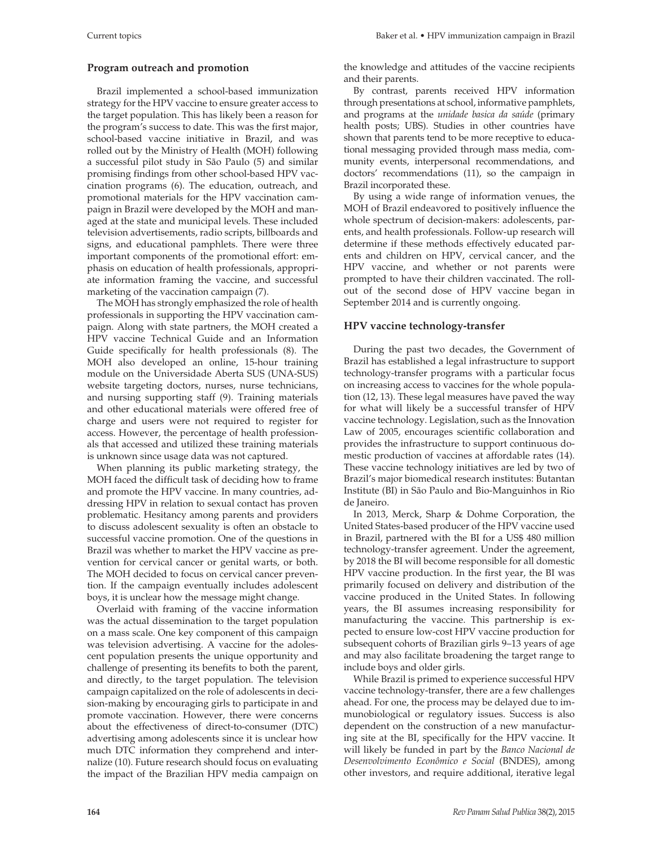# **Program outreach and promotion**

Brazil implemented a school-based immunization strategy for the HPV vaccine to ensure greater access to the target population. This has likely been a reason for the program's success to date. This was the first major, school-based vaccine initiative in Brazil, and was rolled out by the Ministry of Health (MOH) following a successful pilot study in São Paulo (5) and similar promising findings from other school-based HPV vaccination programs (6). The education, outreach, and promotional materials for the HPV vaccination campaign in Brazil were developed by the MOH and managed at the state and municipal levels. These included television advertisements, radio scripts, billboards and signs, and educational pamphlets. There were three important components of the promotional effort: emphasis on education of health professionals, appropriate information framing the vaccine, and successful marketing of the vaccination campaign (7).

The MOH has strongly emphasized the role of health professionals in supporting the HPV vaccination campaign. Along with state partners, the MOH created a HPV vaccine Technical Guide and an Information Guide specifically for health professionals (8). The MOH also developed an online, 15-hour training module on the Universidade Aberta SUS (UNA-SUS) website targeting doctors, nurses, nurse technicians, and nursing supporting staff (9). Training materials and other educational materials were offered free of charge and users were not required to register for access. However, the percentage of health professionals that accessed and utilized these training materials is unknown since usage data was not captured.

When planning its public marketing strategy, the MOH faced the difficult task of deciding how to frame and promote the HPV vaccine. In many countries, addressing HPV in relation to sexual contact has proven problematic. Hesitancy among parents and providers to discuss adolescent sexuality is often an obstacle to successful vaccine promotion. One of the questions in Brazil was whether to market the HPV vaccine as prevention for cervical cancer or genital warts, or both. The MOH decided to focus on cervical cancer prevention. If the campaign eventually includes adolescent boys, it is unclear how the message might change.

Overlaid with framing of the vaccine information was the actual dissemination to the target population on a mass scale. One key component of this campaign was television advertising. A vaccine for the adolescent population presents the unique opportunity and challenge of presenting its benefits to both the parent, and directly, to the target population. The television campaign capitalized on the role of adolescents in decision-making by encouraging girls to participate in and promote vaccination. However, there were concerns about the effectiveness of direct-to-consumer (DTC) advertising among adolescents since it is unclear how much DTC information they comprehend and internalize (10). Future research should focus on evaluating the impact of the Brazilian HPV media campaign on the knowledge and attitudes of the vaccine recipients and their parents.

By contrast, parents received HPV information through presentations at school, informative pamphlets, and programs at the *unidade basica da saúde* (primary health posts; UBS). Studies in other countries have shown that parents tend to be more receptive to educational messaging provided through mass media, community events, interpersonal recommendations, and doctors' recommendations (11), so the campaign in Brazil incorporated these.

By using a wide range of information venues, the MOH of Brazil endeavored to positively influence the whole spectrum of decision-makers: adolescents, parents, and health professionals. Follow-up research will determine if these methods effectively educated parents and children on HPV, cervical cancer, and the HPV vaccine, and whether or not parents were prompted to have their children vaccinated. The rollout of the second dose of HPV vaccine began in September 2014 and is currently ongoing.

# **HPV vaccine technology-transfer**

During the past two decades, the Government of Brazil has established a legal infrastructure to support technology-transfer programs with a particular focus on increasing access to vaccines for the whole population (12, 13). These legal measures have paved the way for what will likely be a successful transfer of HPV vaccine technology. Legislation, such as the Innovation Law of 2005, encourages scientific collaboration and provides the infrastructure to support continuous domestic production of vaccines at affordable rates (14). These vaccine technology initiatives are led by two of Brazil's major biomedical research institutes: Butantan Institute (BI) in São Paulo and Bio-Manguinhos in Rio de Janeiro.

In 2013, Merck, Sharp & Dohme Corporation, the United States-based producer of the HPV vaccine used in Brazil, partnered with the BI for a US\$ 480 million technology-transfer agreement. Under the agreement, by 2018 the BI will become responsible for all domestic HPV vaccine production. In the first year, the BI was primarily focused on delivery and distribution of the vaccine produced in the United States. In following years, the BI assumes increasing responsibility for manufacturing the vaccine. This partnership is expected to ensure low-cost HPV vaccine production for subsequent cohorts of Brazilian girls 9–13 years of age and may also facilitate broadening the target range to include boys and older girls.

While Brazil is primed to experience successful HPV vaccine technology-transfer, there are a few challenges ahead. For one, the process may be delayed due to immunobiological or regulatory issues. Success is also dependent on the construction of a new manufacturing site at the BI, specifically for the HPV vaccine. It will likely be funded in part by the *Banco Nacional de Desenvolvimento Econômico e Social* (BNDES), among other investors, and require additional, iterative legal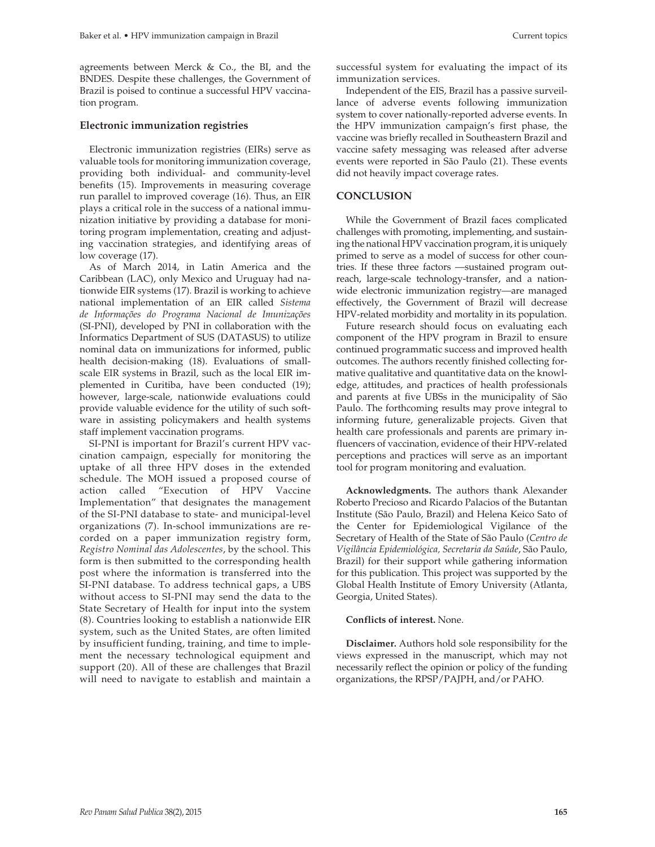agreements between Merck & Co., the BI, and the BNDES. Despite these challenges, the Government of Brazil is poised to continue a successful HPV vaccination program.

### **Electronic immunization registries**

Electronic immunization registries (EIRs) serve as valuable tools for monitoring immunization coverage, providing both individual- and community-level benefits (15). Improvements in measuring coverage run parallel to improved coverage (16). Thus, an EIR plays a critical role in the success of a national immunization initiative by providing a database for monitoring program implementation, creating and adjusting vaccination strategies, and identifying areas of low coverage (17).

As of March 2014, in Latin America and the Caribbean (LAC), only Mexico and Uruguay had nationwide EIR systems (17). Brazil is working to achieve national implementation of an EIR called *Sistema de Informações do Programa Nacional de Imunizações* (SI-PNI), developed by PNI in collaboration with the Informatics Department of SUS (DATASUS) to utilize nominal data on immunizations for informed, public health decision-making (18). Evaluations of smallscale EIR systems in Brazil, such as the local EIR implemented in Curitiba, have been conducted (19); however, large-scale, nationwide evaluations could provide valuable evidence for the utility of such software in assisting policymakers and health systems staff implement vaccination programs.

SI-PNI is important for Brazil's current HPV vaccination campaign, especially for monitoring the uptake of all three HPV doses in the extended schedule. The MOH issued a proposed course of action called "Execution of HPV Vaccine Implementation" that designates the management of the SI-PNI database to state- and municipal-level organizations (7). In-school immunizations are recorded on a paper immunization registry form, *Registro Nominal das Adolescentes*, by the school. This form is then submitted to the corresponding health post where the information is transferred into the SI-PNI database. To address technical gaps, a UBS without access to SI-PNI may send the data to the State Secretary of Health for input into the system (8). Countries looking to establish a nationwide EIR system, such as the United States, are often limited by insufficient funding, training, and time to implement the necessary technological equipment and support (20). All of these are challenges that Brazil will need to navigate to establish and maintain a

successful system for evaluating the impact of its immunization services.

Independent of the EIS, Brazil has a passive surveillance of adverse events following immunization system to cover nationally-reported adverse events. In the HPV immunization campaign's first phase, the vaccine was briefly recalled in Southeastern Brazil and vaccine safety messaging was released after adverse events were reported in São Paulo (21). These events did not heavily impact coverage rates.

## **CONCLUSION**

While the Government of Brazil faces complicated challenges with promoting, implementing, and sustaining the national HPV vaccination program, it is uniquely primed to serve as a model of success for other countries. If these three factors —sustained program outreach, large-scale technology-transfer, and a nationwide electronic immunization registry—are managed effectively, the Government of Brazil will decrease HPV-related morbidity and mortality in its population.

Future research should focus on evaluating each component of the HPV program in Brazil to ensure continued programmatic success and improved health outcomes. The authors recently finished collecting formative qualitative and quantitative data on the knowledge, attitudes, and practices of health professionals and parents at five UBSs in the municipality of São Paulo. The forthcoming results may prove integral to informing future, generalizable projects. Given that health care professionals and parents are primary influencers of vaccination, evidence of their HPV-related perceptions and practices will serve as an important tool for program monitoring and evaluation.

**Acknowledgments.** The authors thank Alexander Roberto Precioso and Ricardo Palacios of the Butantan Institute (São Paulo, Brazil) and Helena Keico Sato of the Center for Epidemiological Vigilance of the Secretary of Health of the State of São Paulo (*Centro de Vigilância Epidemiológica, Secretaria da Saúde*, São Paulo, Brazil) for their support while gathering information for this publication. This project was supported by the Global Health Institute of Emory University (Atlanta, Georgia, United States).

#### **Conflicts of interest.** None.

**Disclaimer.** Authors hold sole responsibility for the views expressed in the manuscript, which may not necessarily reflect the opinion or policy of the funding organizations, the RPSP/PAJPH, and/or PAHO.